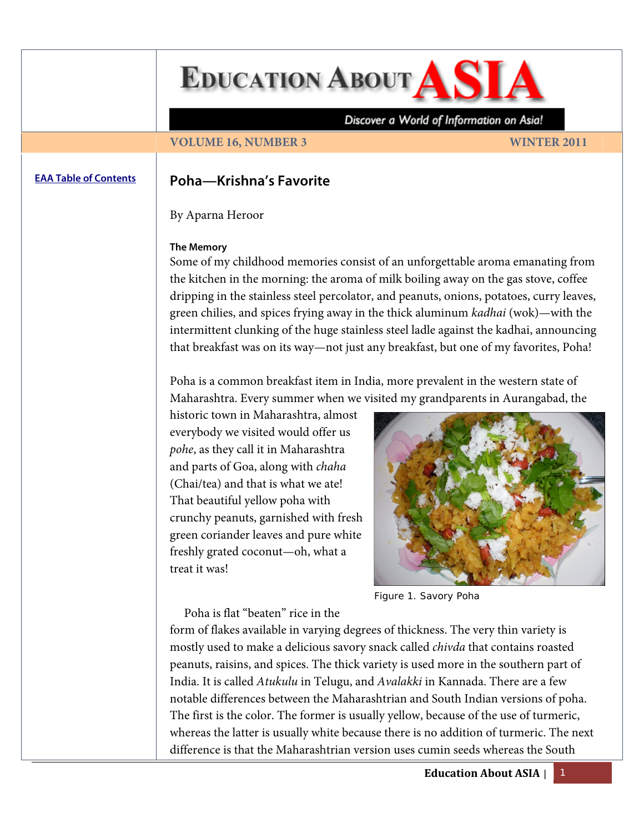**EDUCATION ABOUT AS** 

Discover a World of Information on Asia!

# **VOLUME 16, NUMBER 3 WINTER 2011**

# **[EAA Table of Contents](http://www.asian-studies.org/EAA/TOC/16-3.htm) Poha—Krishna's Favorite**

By Aparna Heroor

### **The Memory**

Some of my childhood memories consist of an unforgettable aroma emanating from the kitchen in the morning: the aroma of milk boiling away on the gas stove, coffee dripping in the stainless steel percolator, and peanuts, onions, potatoes, curry leaves, green chilies, and spices frying away in the thick aluminum *kadhai* (wok)—with the intermittent clunking of the huge stainless steel ladle against the kadhai, announcing that breakfast was on its way—not just any breakfast, but one of my favorites, Poha!

Poha is a common breakfast item in India, more prevalent in the western state of Maharashtra. Every summer when we visited my grandparents in Aurangabad, the

historic town in Maharashtra, almost everybody we visited would offer us *pohe*, as they call it in Maharashtra and parts of Goa, along with *chaha* (Chai/tea) and that is what we ate! That beautiful yellow poha with crunchy peanuts, garnished with fresh green coriander leaves and pure white freshly grated coconut—oh, what a treat it was!



Figure 1. Savory Poha

Poha is flat "beaten" rice in the

form of flakes available in varying degrees of thickness. The very thin variety is mostly used to make a delicious savory snack called *chivda* that contains roasted peanuts, raisins, and spices. The thick variety is used more in the southern part of India. It is called *Atukulu* in Telugu, and *Avalakki* in Kannada. There are a few notable differences between the Maharashtrian and South Indian versions of poha. The first is the color. The former is usually yellow, because of the use of turmeric, whereas the latter is usually white because there is no addition of turmeric. The next difference is that the Maharashtrian version uses cumin seeds whereas the South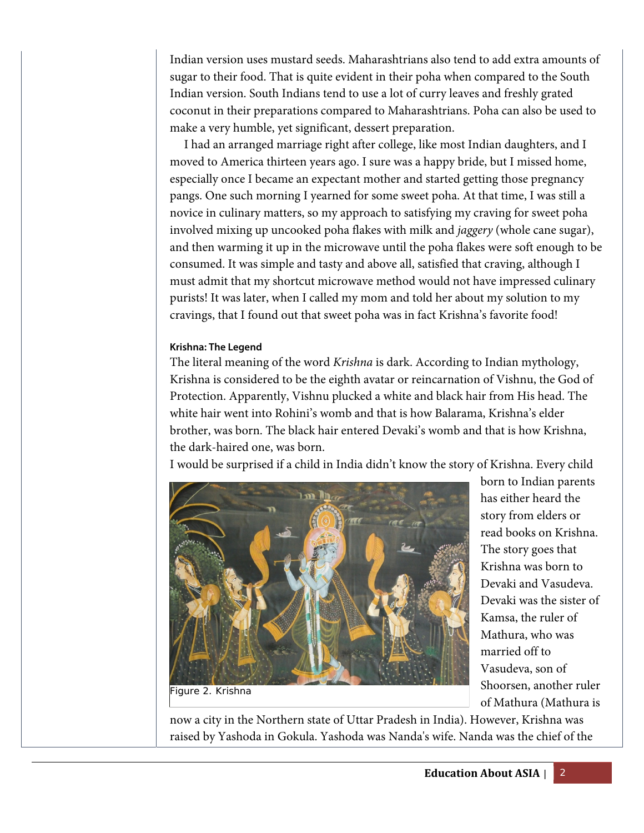Indian version uses mustard seeds. Maharashtrians also tend to add extra amounts of sugar to their food. That is quite evident in their poha when compared to the South Indian version. South Indians tend to use a lot of curry leaves and freshly grated coconut in their preparations compared to Maharashtrians. Poha can also be used to make a very humble, yet significant, dessert preparation.

 I had an arranged marriage right after college, like most Indian daughters, and I moved to America thirteen years ago. I sure was a happy bride, but I missed home, especially once I became an expectant mother and started getting those pregnancy pangs. One such morning I yearned for some sweet poha. At that time, I was still a novice in culinary matters, so my approach to satisfying my craving for sweet poha involved mixing up uncooked poha flakes with milk and *jaggery* (whole cane sugar), and then warming it up in the microwave until the poha flakes were soft enough to be consumed. It was simple and tasty and above all, satisfied that craving, although I must admit that my shortcut microwave method would not have impressed culinary purists! It was later, when I called my mom and told her about my solution to my cravings, that I found out that sweet poha was in fact Krishna's favorite food!

# **Krishna: The Legend**

The literal meaning of the word *Krishna* is dark. According to Indian mythology, Krishna is considered to be the eighth avatar or reincarnation of Vishnu, the God of Protection. Apparently, Vishnu plucked a white and black hair from His head. The white hair went into Rohini's womb and that is how Balarama, Krishna's elder brother, was born. The black hair entered Devaki's womb and that is how Krishna, the dark-haired one, was born.

I would be surprised if a child in India didn't know the story of Krishna. Every child



born to Indian parents has either heard the story from elders or read books on Krishna. The story goes that Krishna was born to Devaki and Vasudeva. Devaki was the sister of Kamsa, the ruler of Mathura, who was married off to Vasudeva, son of Shoorsen, another ruler of Mathura (Mathura is

Figure 2. Krishna

now a city in the Northern state of Uttar Pradesh in India). However, Krishna was raised by Yashoda in Gokula. Yashoda was Nanda's wife. Nanda was the chief of the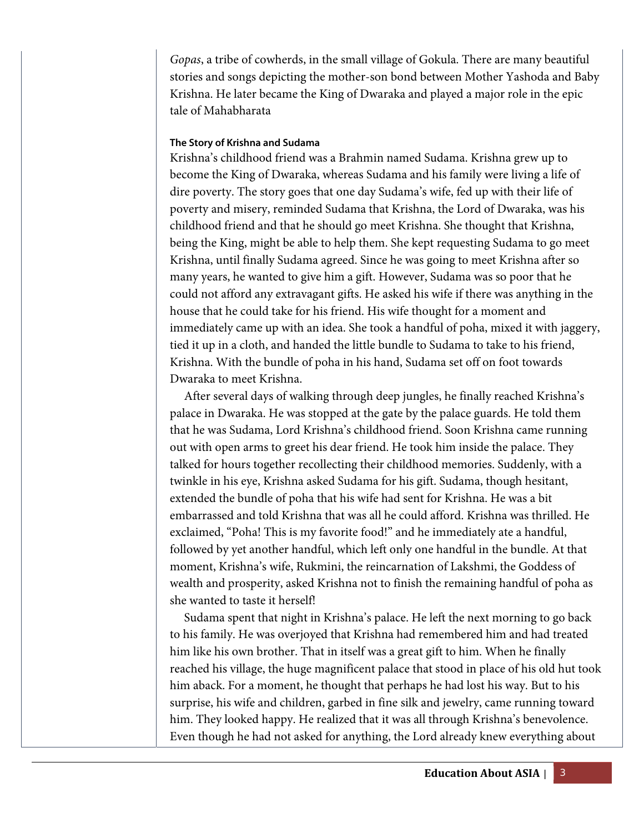*Gopas*, a tribe of cowherds, in the small village of Gokula. There are many beautiful stories and songs depicting the mother-son bond between Mother Yashoda and Baby Krishna. He later became the King of Dwaraka and played a major role in the epic tale of Mahabharata

## **The Story of Krishna and Sudama**

Krishna's childhood friend was a Brahmin named Sudama. Krishna grew up to become the King of Dwaraka, whereas Sudama and his family were living a life of dire poverty. The story goes that one day Sudama's wife, fed up with their life of poverty and misery, reminded Sudama that Krishna, the Lord of Dwaraka, was his childhood friend and that he should go meet Krishna. She thought that Krishna, being the King, might be able to help them. She kept requesting Sudama to go meet Krishna, until finally Sudama agreed. Since he was going to meet Krishna after so many years, he wanted to give him a gift. However, Sudama was so poor that he could not afford any extravagant gifts. He asked his wife if there was anything in the house that he could take for his friend. His wife thought for a moment and immediately came up with an idea. She took a handful of poha, mixed it with jaggery, tied it up in a cloth, and handed the little bundle to Sudama to take to his friend, Krishna. With the bundle of poha in his hand, Sudama set off on foot towards Dwaraka to meet Krishna.

 After several days of walking through deep jungles, he finally reached Krishna's palace in Dwaraka. He was stopped at the gate by the palace guards. He told them that he was Sudama, Lord Krishna's childhood friend. Soon Krishna came running out with open arms to greet his dear friend. He took him inside the palace. They talked for hours together recollecting their childhood memories. Suddenly, with a twinkle in his eye, Krishna asked Sudama for his gift. Sudama, though hesitant, extended the bundle of poha that his wife had sent for Krishna. He was a bit embarrassed and told Krishna that was all he could afford. Krishna was thrilled. He exclaimed, "Poha! This is my favorite food!" and he immediately ate a handful, followed by yet another handful, which left only one handful in the bundle. At that moment, Krishna's wife, Rukmini, the reincarnation of Lakshmi, the Goddess of wealth and prosperity, asked Krishna not to finish the remaining handful of poha as she wanted to taste it herself!

 Sudama spent that night in Krishna's palace. He left the next morning to go back to his family. He was overjoyed that Krishna had remembered him and had treated him like his own brother. That in itself was a great gift to him. When he finally reached his village, the huge magnificent palace that stood in place of his old hut took him aback. For a moment, he thought that perhaps he had lost his way. But to his surprise, his wife and children, garbed in fine silk and jewelry, came running toward him. They looked happy. He realized that it was all through Krishna's benevolence. Even though he had not asked for anything, the Lord already knew everything about